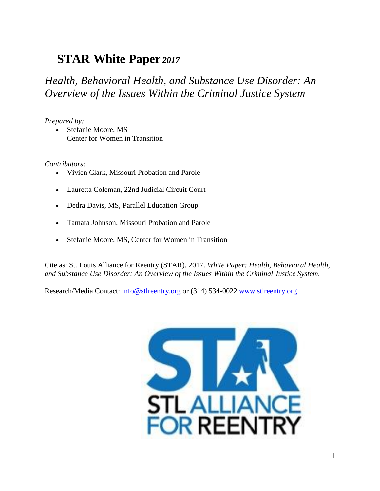# **STAR White Paper** *2017*

## *Health, Behavioral Health, and Substance Use Disorder: An Overview of the Issues Within the Criminal Justice System*

## *Prepared by:*

 Stefanie Moore, MS Center for Women in Transition

#### *Contributors:*

- Vivien Clark, Missouri Probation and Parole
- Lauretta Coleman, 22nd Judicial Circuit Court
- Dedra Davis, MS, Parallel Education Group
- Tamara Johnson, Missouri Probation and Parole
- Stefanie Moore, MS, Center for Women in Transition

Cite as: St. Louis Alliance for Reentry (STAR). 2017. *White Paper: Health, Behavioral Health, and Substance Use Disorder: An Overview of the Issues Within the Criminal Justice System.*

Research/Media Contact: info@stlreentry.org or (314) 534-0022 www.stlreentry.org

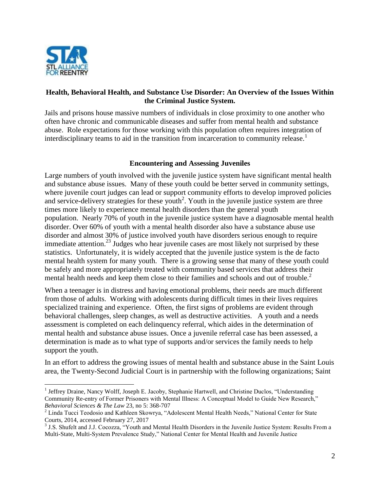

 $\overline{a}$ 

## **Health, Behavioral Health, and Substance Use Disorder: An Overview of the Issues Within the Criminal Justice System.**

Jails and prisons house massive numbers of individuals in close proximity to one another who often have chronic and communicable diseases and suffer from mental health and substance abuse. Role expectations for those working with this population often requires integration of interdisciplinary teams to aid in the transition from incarceration to community release.<sup>1</sup>

## **Encountering and Assessing Juveniles**

Large numbers of youth involved with the juvenile justice system have significant mental health and substance abuse issues. Many of these youth could be better served in community settings, where juvenile court judges can lead or support community efforts to develop improved policies and service-delivery strategies for these youth<sup>2</sup>. Youth in the juvenile justice system are three times more likely to experience mental health disorders than the general youth population. Nearly 70% of youth in the juvenile justice system have a diagnosable mental health disorder. Over 60% of youth with a mental health disorder also have a substance abuse use disorder and almost 30% of justice involved youth have disorders serious enough to require immediate attention.<sup>23</sup> Judges who hear juvenile cases are most likely not surprised by these statistics. Unfortunately, it is widely accepted that the juvenile justice system is the de facto mental health system for many youth. There is a growing sense that many of these youth could be safely and more appropriately treated with community based services that address their mental health needs and keep them close to their families and schools and out of trouble. 2

When a teenager is in distress and having emotional problems, their needs are much different from those of adults. Working with adolescents during difficult times in their lives requires specialized training and experience. Often, the first signs of problems are evident through behavioral challenges, sleep changes, as well as destructive activities. A youth and a needs assessment is completed on each delinquency referral, which aides in the determination of mental health and substance abuse issues. Once a juvenile referral case has been assessed, a determination is made as to what type of supports and/or services the family needs to help support the youth.

In an effort to address the growing issues of mental health and substance abuse in the Saint Louis area, the Twenty-Second Judicial Court is in partnership with the following organizations; Saint

<sup>&</sup>lt;sup>1</sup> Jeffrey Draine, Nancy Wolff, Joseph E. Jacoby, Stephanie Hartwell, and Christine Duclos, "Understanding Community Re-entry of Former Prisoners with Mental Illness: A Conceptual Model to Guide New Research," *Behavioral Sciences & The Law* 23, no 5: 368-707

<sup>&</sup>lt;sup>2</sup> Linda Tucci Teodosio and Kathleen Skowrya, "Adolescent Mental Health Needs," National Center for State Courts, 2014, accessed February 27, 2017

<sup>&</sup>lt;sup>3</sup> J.S. Shufelt and J.J. Cocozza, "Youth and Mental Health Disorders in the Juvenile Justice System: Results From a Multi-State, Multi-System Prevalence Study," National Center for Mental Health and Juvenile Justice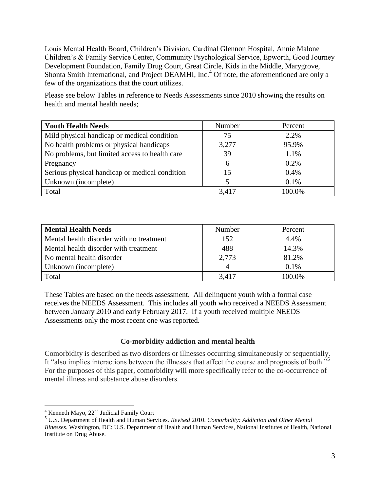Louis Mental Health Board, Children's Division, Cardinal Glennon Hospital, Annie Malone Children's & Family Service Center, Community Psychological Service, Epworth, Good Journey Development Foundation, Family Drug Court, Great Circle, Kids in the Middle, Marygrove, Shonta Smith International, and Project DEAMHI, Inc.<sup>4</sup> Of note, the aforementioned are only a few of the organizations that the court utilizes.

Please see below Tables in reference to Needs Assessments since 2010 showing the results on health and mental health needs;

| <b>Youth Health Needs</b>                      | Number | Percent |
|------------------------------------------------|--------|---------|
| Mild physical handicap or medical condition    | 75     | 2.2%    |
| No health problems or physical handicaps       | 3,277  | 95.9%   |
| No problems, but limited access to health care | 39     | 1.1%    |
| Pregnancy                                      | 6      | 0.2%    |
| Serious physical handicap or medical condition | 15     | 0.4%    |
| Unknown (incomplete)                           |        | 0.1%    |
| Total                                          | 3.417  | 100.0%  |

| <b>Mental Health Needs</b>               | Number | Percent |
|------------------------------------------|--------|---------|
| Mental health disorder with no treatment | 152    | 4.4%    |
| Mental health disorder with treatment    | 488    | 14.3%   |
| No mental health disorder                | 2,773  | 81.2%   |
| Unknown (incomplete)                     |        | 0.1%    |
| Total                                    | 3,417  | 100.0%  |

These Tables are based on the needs assessment. All delinquent youth with a formal case receives the NEEDS Assessment. This includes all youth who received a NEEDS Assessment between January 2010 and early February 2017. If a youth received multiple NEEDS Assessments only the most recent one was reported.

## **Co-morbidity addiction and mental health**

Comorbidity is described as two disorders or illnesses occurring simultaneously or sequentially. It "also implies interactions between the illnesses that affect the course and prognosis of both."<sup>5</sup> For the purposes of this paper, comorbidity will more specifically refer to the co-occurrence of mental illness and substance abuse disorders.

 $\overline{a}$ 

<sup>5</sup> U.S. Department of Health and Human Services. *Revised* 2010. *Comorbidity: Addiction and Other Mental* 

 $4$  Kenneth Mayo,  $22<sup>nd</sup>$  Judicial Family Court

*Illnesses*. Washington, DC: U.S. Department of Health and Human Services, National Institutes of Health, National Institute on Drug Abuse.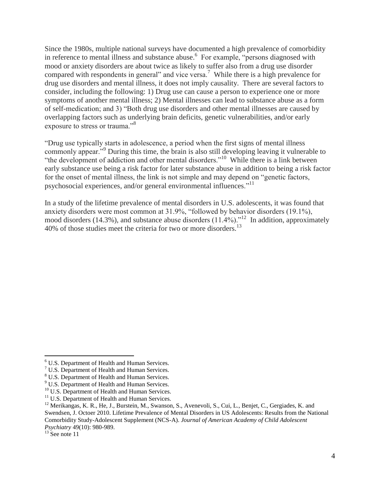Since the 1980s, multiple national surveys have documented a high prevalence of comorbidity in reference to mental illness and substance abuse.<sup>6</sup> For example, "persons diagnosed with mood or anxiety disorders are about twice as likely to suffer also from a drug use disorder compared with respondents in general" and vice versa.<sup>7</sup> While there is a high prevalence for drug use disorders and mental illness, it does not imply causality. There are several factors to consider, including the following: 1) Drug use can cause a person to experience one or more symptoms of another mental illness; 2) Mental illnesses can lead to substance abuse as a form of self-medication; and 3) "Both drug use disorders and other mental illnesses are caused by overlapping factors such as underlying brain deficits, genetic vulnerabilities, and/or early exposure to stress or trauma."<sup>8</sup>

"Drug use typically starts in adolescence, a period when the first signs of mental illness commonly appear."<sup>9</sup> During this time, the brain is also still developing leaving it vulnerable to "the development of addiction and other mental disorders."<sup>10</sup> While there is a link between early substance use being a risk factor for later substance abuse in addition to being a risk factor for the onset of mental illness, the link is not simple and may depend on "genetic factors, psychosocial experiences, and/or general environmental influences."<sup>11</sup>

In a study of the lifetime prevalence of mental disorders in U.S. adolescents, it was found that anxiety disorders were most common at 31.9%, "followed by behavior disorders (19.1%), mood disorders (14.3%), and substance abuse disorders (11.4%)."<sup>12</sup> In addition, approximately 40% of those studies meet the criteria for two or more disorders.<sup>13</sup>

<sup>6</sup> U.S. Department of Health and Human Services.

<sup>&</sup>lt;sup>7</sup> U.S. Department of Health and Human Services.

<sup>8</sup> U.S. Department of Health and Human Services.

<sup>&</sup>lt;sup>9</sup> U.S. Department of Health and Human Services.

<sup>&</sup>lt;sup>10</sup> U.S. Department of Health and Human Services.

<sup>&</sup>lt;sup>11</sup> U.S. Department of Health and Human Services.

<sup>&</sup>lt;sup>12</sup> Merikangas, K. R., He, J., Burstein, M., Swanson, S., Avenevoli, S., Cui, L., Benjet, C., Gergiades, K. and Swendsen, J. Octoer 2010. Lifetime Prevalence of Mental Disorders in US Adolescents: Results from the National Comorbidity Study-Adolescent Supplement (NCS-A). *Journal of American Academy of Child Adolescent Psychiatry* 49(10): 980-989.

 $13$  See note 11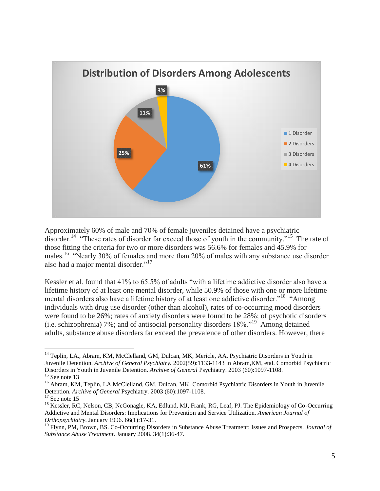

Approximately 60% of male and 70% of female juveniles detained have a psychiatric disorder.<sup>14</sup> "These rates of disorder far exceed those of youth in the community."<sup>15</sup> The rate of those fitting the criteria for two or more disorders was 56.6% for females and 45.9% for males.<sup>16</sup> "Nearly 30% of females and more than 20% of males with any substance use disorder also had a major mental disorder."<sup>17</sup>

Kessler et al. found that 41% to 65.5% of adults "with a lifetime addictive disorder also have a lifetime history of at least one mental disorder, while 50.9% of those with one or more lifetime mental disorders also have a lifetime history of at least one addictive disorder."<sup>18</sup> "Among individuals with drug use disorder (other than alcohol), rates of co-occurring mood disorders were found to be 26%; rates of anxiety disorders were found to be 28%; of psychotic disorders (i.e. schizophrenia) 7%; and of antisocial personality disorders 18%."<sup>19</sup> Among detained adults, substance abuse disorders far exceed the prevalence of other disorders. However, there

<sup>&</sup>lt;sup>14</sup> Teplin, LA., Abram, KM, McClelland, GM, Dulcan, MK, Mericle, AA. Psychiatric Disorders in Youth in Juvenile Detention. *Archive of General Psychiatry.* 2002(59):1133-1143 in Abram,KM, etal. Comorbid Psychiatric Disorders in Youth in Juvenile Detention. *Archive of General* Psychiatry. 2003 (60):1097-1108.  $15$  See note 13

<sup>&</sup>lt;sup>16</sup> Abram, KM, Teplin, LA McClelland, GM, Dulcan, MK. Comorbid Psychiatric Disorders in Youth in Juvenile Detention. *Archive of General* Psychiatry. 2003 (60):1097-1108.

 $17$  See note 15

<sup>&</sup>lt;sup>18</sup> Kessler, RC, Nelson, CB, NcGonagle, KA, Edlund, MJ, Frank, RG, Leaf, PJ. The Epidemiology of Co-Occurring Addictive and Mental Disorders: Implications for Prevention and Service Utilization. *American Journal of Orthopsychiatry*. January 1996. 66(1):17-31.

<sup>19</sup> Flynn, PM, Brown, BS. Co-Occurring Disorders in Substance Abuse Treatment: Issues and Prospects. *Journal of Substance Abuse Treatment*. January 2008. 34(1):36-47.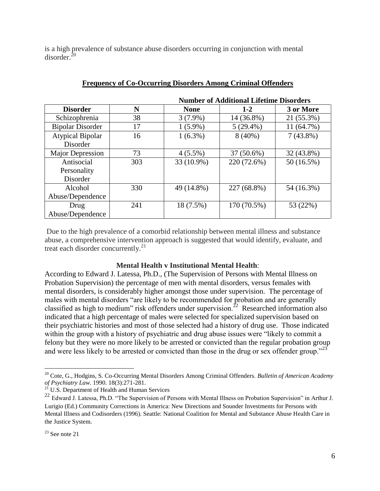is a high prevalence of substance abuse disorders occurring in conjunction with mental  $disorder<sup>20</sup>$ 

|                         |     | <b>Number of Additional Lifetime Disorders</b> |             |             |
|-------------------------|-----|------------------------------------------------|-------------|-------------|
| <b>Disorder</b>         | N   | <b>None</b>                                    | $1 - 2$     | 3 or More   |
| Schizophrenia           | 38  | $3(7.9\%)$                                     | 14 (36.8%)  | 21 (55.3%)  |
| <b>Bipolar Disorder</b> | 17  | $1(5.9\%)$                                     | $5(29.4\%)$ | 11 (64.7%)  |
| <b>Atypical Bipolar</b> | 16  | $1(6.3\%)$                                     | $8(40\%)$   | $7(43.8\%)$ |
| Disorder                |     |                                                |             |             |
| Major Depression        | 73  | $4(5.5\%)$                                     | 37 (50.6%)  | 32 (43.8%)  |
| Antisocial              | 303 | 33 (10.9%)                                     | 220 (72.6%) | 50 (16.5%)  |
| Personality             |     |                                                |             |             |
| Disorder                |     |                                                |             |             |
| Alcohol                 | 330 | 49 (14.8%)                                     | 227 (68.8%) | 54 (16.3%)  |
| Abuse/Dependence        |     |                                                |             |             |
| Drug                    | 241 | 18 (7.5%)                                      | 170 (70.5%) | 53 (22%)    |
| Abuse/Dependence        |     |                                                |             |             |

## **Frequency of Co-Occurring Disorders Among Criminal Offenders**

Due to the high prevalence of a comorbid relationship between mental illness and substance abuse, a comprehensive intervention approach is suggested that would identify, evaluate, and treat each disorder concurrently.<sup>21</sup>

#### **Mental Health v Institutional Mental Health**:

According to Edward J. Latessa, Ph.D., (The Supervision of Persons with Mental Illness on Probation Supervision) the percentage of men with mental disorders, versus females with mental disorders, is considerably higher amongst those under supervision. The percentage of males with mental disorders "are likely to be recommended for probation and are generally classified as high to medium" risk offenders under supervision.<sup>22</sup> Researched information also indicated that a high percentage of males were selected for specialized supervision based on their psychiatric histories and most of those selected had a history of drug use. Those indicated within the group with a history of psychiatric and drug abuse issues were "likely to commit a felony but they were no more likely to be arrested or convicted than the regular probation group and were less likely to be arrested or convicted than those in the drug or sex offender group."<sup>23</sup>

<sup>20</sup> Cote, G., Hodgins, S. Co-Occurring Mental Disorders Among Criminal Offenders. *Bulletin of American Academy of Psychiatry Law*. 1990. 18(3):271-281.

<sup>&</sup>lt;sup>21</sup> U.S. Department of Health and Human Services

<sup>22</sup> Edward J. Latessa, Ph.D. "The Supervision of Persons with Mental Illness on Probation Supervision" in Arthur J. Lurigio (Ed.) Community Corrections in America: New Directions and Sounder Investments for Persons with Mental Illness and Codisorders (1996). Seattle: National Coalition for Mental and Substance Abuse Health Care in the Justice System.

 $23$  See note 21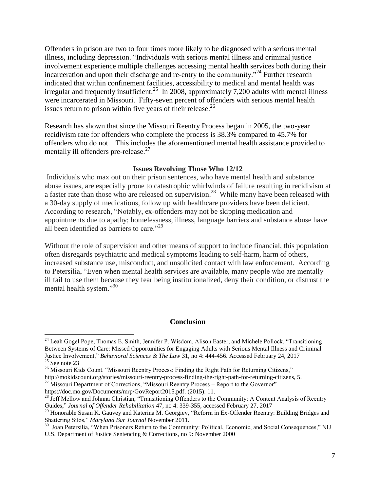Offenders in prison are two to four times more likely to be diagnosed with a serious mental illness, including depression. "Individuals with serious mental illness and criminal justice involvement experience multiple challenges accessing mental health services both during their incarceration and upon their discharge and re-entry to the community."<sup>24</sup> Further research indicated that within confinement facilities, accessibility to medical and mental health was irregular and frequently insufficient.<sup>25</sup> In 2008, approximately 7,200 adults with mental illness were incarcerated in Missouri. Fifty-seven percent of offenders with serious mental health issues return to prison within five years of their release.<sup>26</sup>

Research has shown that since the Missouri Reentry Process began in 2005, the two-year recidivism rate for offenders who complete the process is 38.3% compared to 45.7% for offenders who do not. This includes the aforementioned mental health assistance provided to mentally ill offenders pre-release.<sup>27</sup>

#### **Issues Revolving Those Who 12/12**

Individuals who max out on their prison sentences, who have mental health and substance abuse issues, are especially prone to catastrophic whirlwinds of failure resulting in recidivism at a faster rate than those who are released on supervision.<sup>28</sup> While many have been released with a 30-day supply of medications, follow up with healthcare providers have been deficient. According to research, "Notably, ex-offenders may not be skipping medication and appointments due to apathy; homelessness, illness, language barriers and substance abuse have all been identified as barriers to care."<sup>29</sup>

Without the role of supervision and other means of support to include financial, this population often disregards psychiatric and medical symptoms leading to self-harm, harm of others, increased substance use, misconduct, and unsolicited contact with law enforcement. According to Petersilia, "Even when mental health services are available, many people who are mentally ill fail to use them because they fear being institutionalized, deny their condition, or distrust the mental health system."<sup>30</sup>

#### **Conclusion**

http://mokidscount.org/stories/missouri-reentry-process-finding-the-right-path-for-returning-citizens, 5.

<sup>&</sup>lt;sup>24</sup> Leah Gogel Pope, Thomas E. Smith, Jennifer P. Wisdom, Alison Easter, and Michele Pollock, "Transitioning Between Systems of Care: Missed Opportunities for Engaging Adults with Serious Mental Illness and Criminal Justice Involvement," *Behavioral Sciences & The Law* 31, no 4: 444-456. Accessed February 24, 2017  $25$  See note 23

<sup>&</sup>lt;sup>26</sup> Missouri Kids Count. "Missouri Reentry Process: Finding the Right Path for Returning Citizens,"

 $^{27}$  Missouri Department of Corrections, "Missouri Reentry Process – Report to the Governor"

https://doc.mo.gov/Documents/mrp/GovReport2015.pdf. (2015): 11.

<sup>&</sup>lt;sup>28</sup> Jeff Mellow and Johnna Christian, "Transitioning Offenders to the Community: A Content Analysis of Reentry Guides," *Journal of Offender Rehabilitation* 47, no 4: 339-355, accessed February 27, 2017

<sup>29</sup> Honorable Susan K. Gauvey and Katerina M. Georgiev, "Reform in Ex-Offender Reentry: Building Bridges and Shattering Silos," *Maryland Bar Journal* November 2011.

<sup>&</sup>lt;sup>30</sup> Joan Petersilia, "When Prisoners Return to the Community: Political, Economic, and Social Consequences," NIJ U.S. Department of Justice Sentencing & Corrections, no 9: November 2000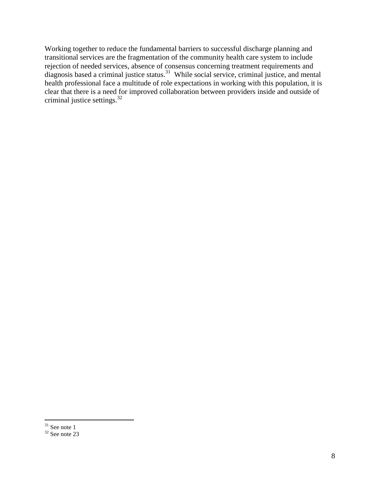Working together to reduce the fundamental barriers to successful discharge planning and transitional services are the fragmentation of the community health care system to include rejection of needed services, absence of consensus concerning treatment requirements and diagnosis based a criminal justice status.<sup>31</sup> While social service, criminal justice, and mental health professional face a multitude of role expectations in working with this population, it is clear that there is a need for improved collaboration between providers inside and outside of criminal justice settings. $32$ 

 $\overline{a}$  $31$  See note 1

 $32$  See note 23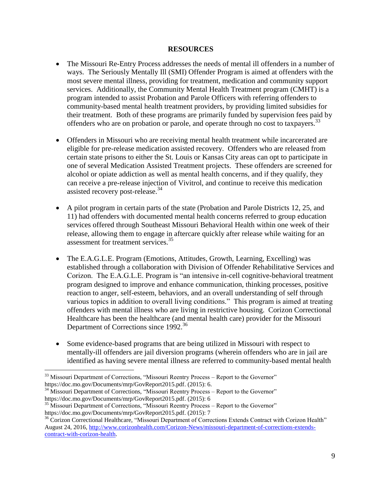#### **RESOURCES**

- The Missouri Re-Entry Process addresses the needs of mental ill offenders in a number of ways. The Seriously Mentally Ill (SMI) Offender Program is aimed at offenders with the most severe mental illness, providing for treatment, medication and community support services. Additionally, the Community Mental Health Treatment program (CMHT) is a program intended to assist Probation and Parole Officers with referring offenders to community-based mental health treatment providers, by providing limited subsidies for their treatment. Both of these programs are primarily funded by supervision fees paid by offenders who are on probation or parole, and operate through no cost to taxpayers.<sup>33</sup>
- Offenders in Missouri who are receiving mental health treatment while incarcerated are eligible for pre-release medication assisted recovery. Offenders who are released from certain state prisons to either the St. Louis or Kansas City areas can opt to participate in one of several Medication Assisted Treatment projects. These offenders are screened for alcohol or opiate addiction as well as mental health concerns, and if they qualify, they can receive a pre-release injection of Vivitrol, and continue to receive this medication assisted recovery post-release.<sup>34</sup>
- A pilot program in certain parts of the state (Probation and Parole Districts 12, 25, and 11) had offenders with documented mental health concerns referred to group education services offered through Southeast Missouri Behavioral Health within one week of their release, allowing them to engage in aftercare quickly after release while waiting for an assessment for treatment services.<sup>35</sup>
- The E.A.G.L.E. Program (Emotions, Attitudes, Growth, Learning, Excelling) was established through a collaboration with Division of Offender Rehabilitative Services and Corizon. The E.A.G.L.E. Program is "an intensive in-cell cognitive-behavioral treatment program designed to improve and enhance communication, thinking processes, positive reaction to anger, self-esteem, behaviors, and an overall understanding of self through various topics in addition to overall living conditions." This program is aimed at treating offenders with mental illness who are living in restrictive housing. Corizon Correctional Healthcare has been the healthcare (and mental health care) provider for the Missouri Department of Corrections since 1992.<sup>36</sup>
- Some evidence-based programs that are being utilized in Missouri with respect to mentally-ill offenders are jail diversion programs (wherein offenders who are in jail are identified as having severe mental illness are referred to community-based mental health

<sup>&</sup>lt;sup>33</sup> Missouri Department of Corrections, "Missouri Reentry Process – Report to the Governor" https://doc.mo.gov/Documents/mrp/GovReport2015.pdf. (2015): 6.

<sup>&</sup>lt;sup>34</sup> Missouri Department of Corrections, "Missouri Reentry Process – Report to the Governor" https://doc.mo.gov/Documents/mrp/GovReport2015.pdf. (2015): 6

<sup>&</sup>lt;sup>35</sup> Missouri Department of Corrections, "Missouri Reentry Process – Report to the Governor" https://doc.mo.gov/Documents/mrp/GovReport2015.pdf. (2015): 7

<sup>&</sup>lt;sup>36</sup> Corizon Correctional Healthcare, "Missouri Department of Corrections Extends Contract with Corizon Health" August 24, 2016, [http://www.corizonhealth.com/Corizon-News/missouri-department-of-corrections-extends](http://www.corizonhealth.com/Corizon-News/missouri-department-of-corrections-extends-contract-with-corizon-health)[contract-with-corizon-health.](http://www.corizonhealth.com/Corizon-News/missouri-department-of-corrections-extends-contract-with-corizon-health)